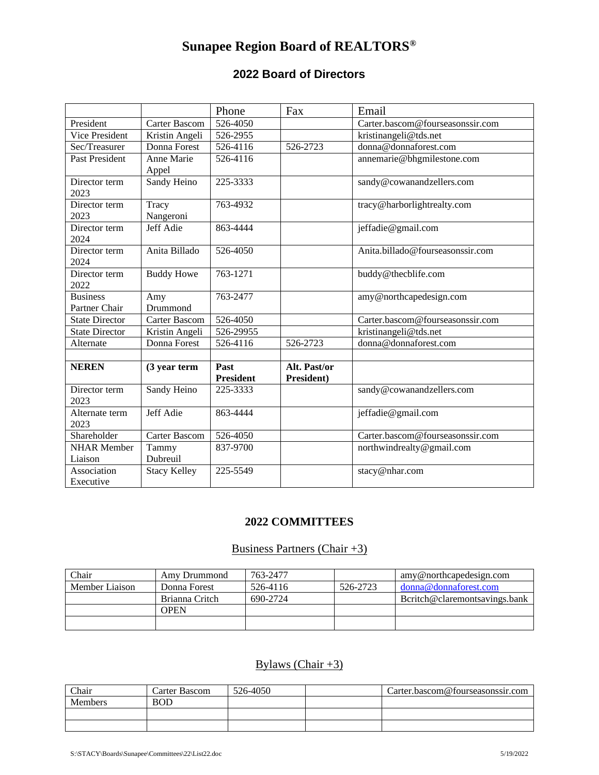# **Sunapee Region Board of REALTORS®**

### **2022 Board of Directors**

|                                  |                      | Phone                    | Fax                        | Email                            |
|----------------------------------|----------------------|--------------------------|----------------------------|----------------------------------|
| President                        | <b>Carter Bascom</b> | 526-4050                 |                            | Carter.bascom@fourseasonssir.com |
| <b>Vice President</b>            | Kristin Angeli       | 526-2955                 |                            | kristinangeli@tds.net            |
| Sec/Treasurer                    | Donna Forest         | 526-4116                 | 526-2723                   | donna@donnaforest.com            |
| <b>Past President</b>            | Anne Marie<br>Appel  | 526-4116                 |                            | annemarie@bhgmilestone.com       |
| Director term<br>2023            | Sandy Heino          | 225-3333                 |                            | sandy@cowanandzellers.com        |
| Director term<br>2023            | Tracy<br>Nangeroni   | 763-4932                 |                            | tracy@harborlightrealty.com      |
| Director term<br>2024            | Jeff Adie            | 863-4444                 |                            | jeffadie@gmail.com               |
| Director term<br>2024            | Anita Billado        | 526-4050                 |                            | Anita.billado@fourseasonssir.com |
| Director term<br>2022            | <b>Buddy Howe</b>    | 763-1271                 |                            | buddy@thecblife.com              |
| <b>Business</b><br>Partner Chair | Amy<br>Drummond      | 763-2477                 |                            | amy@northcapedesign.com          |
| <b>State Director</b>            | Carter Bascom        | 526-4050                 |                            | Carter.bascom@fourseasonssir.com |
| <b>State Director</b>            | Kristin Angeli       | 526-29955                |                            | kristinangeli@tds.net            |
| Alternate                        | Donna Forest         | 526-4116                 | 526-2723                   | donna@donnaforest.com            |
| <b>NEREN</b>                     | (3 year term         | Past<br><b>President</b> | Alt. Past/or<br>President) |                                  |
| Director term<br>2023            | Sandy Heino          | 225-3333                 |                            | sandy@cowanandzellers.com        |
| Alternate term<br>2023           | Jeff Adie            | 863-4444                 |                            | jeffadie@gmail.com               |
| Shareholder                      | Carter Bascom        | 526-4050                 |                            | Carter.bascom@fourseasonssir.com |
| <b>NHAR Member</b><br>Liaison    | Tammy<br>Dubreuil    | 837-9700                 |                            | northwindrealty@gmail.com        |
| Association<br>Executive         | <b>Stacy Kelley</b>  | 225-5549                 |                            | stacy@nhar.com                   |

#### **2022 COMMITTEES**

#### Business Partners (Chair +3)

| Chair          | Amy Drummond   | 763-2477 |          | amy@northcapedesign.com       |
|----------------|----------------|----------|----------|-------------------------------|
| Member Liaison | Donna Forest   | 526-4116 | 526-2723 | donna@donnaforest.com         |
|                | Brianna Critch | 690-2724 |          | Beritch@claremontsavings.bank |
|                | OPEN           |          |          |                               |
|                |                |          |          |                               |

## Bylaws (Chair  $+3$ )

| Chair          | Carter Bascom | 526-4050 | Carter.bascom@fourseasonssir.com |
|----------------|---------------|----------|----------------------------------|
| <b>Members</b> | <b>BOD</b>    |          |                                  |
|                |               |          |                                  |
|                |               |          |                                  |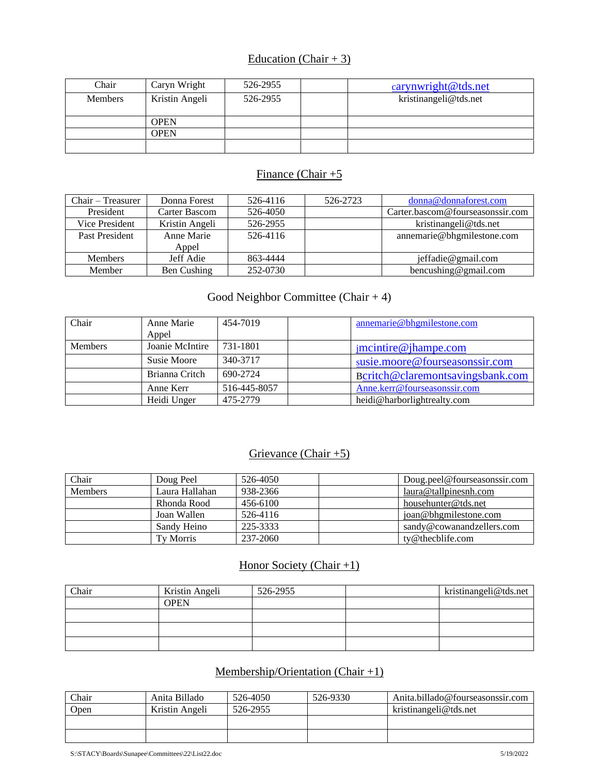#### Education (Chair + 3)

| Chair          | Caryn Wright   | 526-2955 | carynwright@tds.net   |
|----------------|----------------|----------|-----------------------|
| <b>Members</b> | Kristin Angeli | 526-2955 | kristinangeli@tds.net |
|                |                |          |                       |
|                | OPEN           |          |                       |
|                | OPEN           |          |                       |
|                |                |          |                       |

#### Finance (Chair  $+5$

| $Chair - Treasury$ | Donna Forest   | 526-4116 | 526-2723 | donna@donnaforest.com            |
|--------------------|----------------|----------|----------|----------------------------------|
| President          | Carter Bascom  | 526-4050 |          | Carter.bascom@fourseasonssir.com |
| Vice President     | Kristin Angeli | 526-2955 |          | kristinangeli@tds.net            |
| Past President     | Anne Marie     | 526-4116 |          | annemarie@bhgmilestone.com       |
|                    | Appel          |          |          |                                  |
| <b>Members</b>     | Jeff Adie      | 863-4444 |          | jeffadie@gmail.com               |
| Member             | Ben Cushing    | 252-0730 |          | bencushing@gmail.com             |

### Good Neighbor Committee (Chair + 4)

| Chair          | Anne Marie      | 454-7019     | annemarie@bhgmilestone.com       |
|----------------|-----------------|--------------|----------------------------------|
|                | Appel           |              |                                  |
| <b>Members</b> | Joanie McIntire | 731-1801     | $\text{imc}$ intire @ jhampe.com |
|                | Susie Moore     | 340-3717     | susie.moore@fourseasonssir.com   |
|                | Brianna Critch  | 690-2724     | Beritch@claremontsavingsbank.com |
|                | Anne Kerr       | 516-445-8057 | Anne.kerr@fourseasonssir.com     |
|                | Heidi Unger     | 475-2779     | heidi@harborlightrealty.com      |

### Grievance (Chair +5)

| Chair          | Doug Peel      | 526-4050 | Doug.peel@fourseasonssir.com |
|----------------|----------------|----------|------------------------------|
| <b>Members</b> | Laura Hallahan | 938-2366 | laura@tallpinesnh.com        |
|                | Rhonda Rood    | 456-6100 | househunter@tds.net          |
|                | Joan Wallen    | 526-4116 | joan@bhgmilestone.com        |
|                | Sandy Heino    | 225-3333 | sandy@cowanandzellers.com    |
|                | Tv Morris      | 237-2060 | $tv@$ the chlife.com         |

#### Honor Society (Chair +1)

| Chair | Kristin Angeli | 526-2955 | kristinangeli@tds.net |
|-------|----------------|----------|-----------------------|
|       | <b>OPEN</b>    |          |                       |
|       |                |          |                       |
|       |                |          |                       |
|       |                |          |                       |

### Membership/Orientation (Chair +1)

| Chair | Anita Billado  | 526-4050 | 526-9330 | Anita.billado@fourseasonssir.com |
|-------|----------------|----------|----------|----------------------------------|
| Open  | Kristin Angeli | 526-2955 |          | kristinangeli@tds.net            |
|       |                |          |          |                                  |
|       |                |          |          |                                  |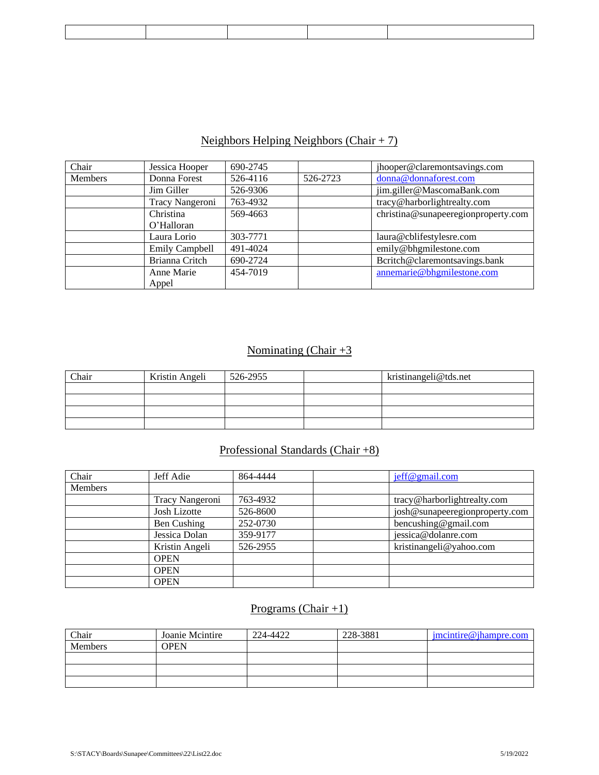### Neighbors Helping Neighbors (Chair  $+ 7$ )

| Chair   | Jessica Hooper        | 690-2745 |          | jhooper@claremontsavings.com        |
|---------|-----------------------|----------|----------|-------------------------------------|
| Members | Donna Forest          | 526-4116 | 526-2723 | donna@donnaforest.com               |
|         | Jim Giller            | 526-9306 |          | jim.giller@MascomaBank.com          |
|         | Tracy Nangeroni       | 763-4932 |          | tracy@harborlightrealty.com         |
|         | Christina             | 569-4663 |          | christina@sunapeeregionproperty.com |
|         | O'Halloran            |          |          |                                     |
|         | Laura Lorio           | 303-7771 |          | laura@cblifestylesre.com            |
|         | <b>Emily Campbell</b> | 491-4024 |          | emily@bhgmilestone.com              |
|         | Brianna Critch        | 690-2724 |          | Bcritch@claremontsavings.bank       |
|         | Anne Marie            | 454-7019 |          | annemarie@bhgmilestone.com          |
|         | Appel                 |          |          |                                     |

### Nominating (Chair  $+3$

| Chair | Kristin Angeli | 526-2955 | kristinangeli@tds.net |
|-------|----------------|----------|-----------------------|
|       |                |          |                       |
|       |                |          |                       |
|       |                |          |                       |
|       |                |          |                       |

#### Professional Standards (Chair +8)

| Chair          | Jeff Adie       | 864-4444 | jeff@gmail.com                 |
|----------------|-----------------|----------|--------------------------------|
| <b>Members</b> |                 |          |                                |
|                | Tracy Nangeroni | 763-4932 | tracy@harborlightrealty.com    |
|                | Josh Lizotte    | 526-8600 | josh@sunapeeregionproperty.com |
|                | Ben Cushing     | 252-0730 | bencushing@gmail.com           |
|                | Jessica Dolan   | 359-9177 | jessica@dolanre.com            |
|                | Kristin Angeli  | 526-2955 | kristinangeli@yahoo.com        |
|                | <b>OPEN</b>     |          |                                |
|                | <b>OPEN</b>     |          |                                |
|                | <b>OPEN</b>     |          |                                |

## Programs (Chair +1)

| Chair   | Joanie Mcintire | 224-4422 | 228-3881 | $\text{imcintire}\& \text{ihampre.com}$ |
|---------|-----------------|----------|----------|-----------------------------------------|
| Members | OPEN            |          |          |                                         |
|         |                 |          |          |                                         |
|         |                 |          |          |                                         |
|         |                 |          |          |                                         |